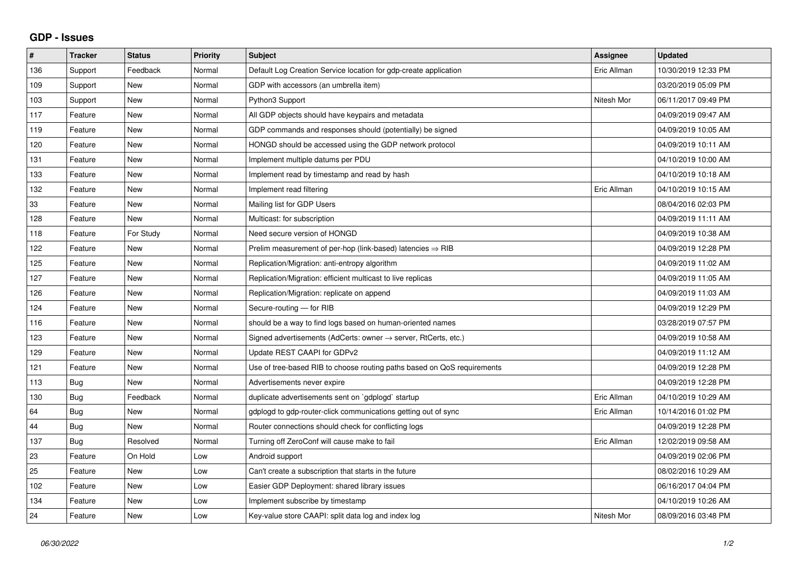## **GDP - Issues**

| $\#$ | <b>Tracker</b> | <b>Status</b> | <b>Priority</b> | <b>Subject</b>                                                             | Assignee    | <b>Updated</b>      |
|------|----------------|---------------|-----------------|----------------------------------------------------------------------------|-------------|---------------------|
| 136  | Support        | Feedback      | Normal          | Default Log Creation Service location for gdp-create application           | Eric Allman | 10/30/2019 12:33 PM |
| 109  | Support        | <b>New</b>    | Normal          | GDP with accessors (an umbrella item)                                      |             | 03/20/2019 05:09 PM |
| 103  | Support        | <b>New</b>    | Normal          | Python3 Support                                                            | Nitesh Mor  | 06/11/2017 09:49 PM |
| 117  | Feature        | <b>New</b>    | Normal          | All GDP objects should have keypairs and metadata                          |             | 04/09/2019 09:47 AM |
| 119  | Feature        | <b>New</b>    | Normal          | GDP commands and responses should (potentially) be signed                  |             | 04/09/2019 10:05 AM |
| 120  | Feature        | <b>New</b>    | Normal          | HONGD should be accessed using the GDP network protocol                    |             | 04/09/2019 10:11 AM |
| 131  | Feature        | <b>New</b>    | Normal          | Implement multiple datums per PDU                                          |             | 04/10/2019 10:00 AM |
| 133  | Feature        | <b>New</b>    | Normal          | Implement read by timestamp and read by hash                               |             | 04/10/2019 10:18 AM |
| 132  | Feature        | <b>New</b>    | Normal          | Implement read filtering                                                   | Eric Allman | 04/10/2019 10:15 AM |
| 33   | Feature        | <b>New</b>    | Normal          | Mailing list for GDP Users                                                 |             | 08/04/2016 02:03 PM |
| 128  | Feature        | <b>New</b>    | Normal          | Multicast: for subscription                                                |             | 04/09/2019 11:11 AM |
| 118  | Feature        | For Study     | Normal          | Need secure version of HONGD                                               |             | 04/09/2019 10:38 AM |
| 122  | Feature        | <b>New</b>    | Normal          | Prelim measurement of per-hop (link-based) latencies ⇒ RIB                 |             | 04/09/2019 12:28 PM |
| 125  | Feature        | <b>New</b>    | Normal          | Replication/Migration: anti-entropy algorithm                              |             | 04/09/2019 11:02 AM |
| 127  | Feature        | <b>New</b>    | Normal          | Replication/Migration: efficient multicast to live replicas                |             | 04/09/2019 11:05 AM |
| 126  | Feature        | <b>New</b>    | Normal          | Replication/Migration: replicate on append                                 |             | 04/09/2019 11:03 AM |
| 124  | Feature        | <b>New</b>    | Normal          | Secure-routing - for RIB                                                   |             | 04/09/2019 12:29 PM |
| 116  | Feature        | <b>New</b>    | Normal          | should be a way to find logs based on human-oriented names                 |             | 03/28/2019 07:57 PM |
| 123  | Feature        | <b>New</b>    | Normal          | Signed advertisements (AdCerts: owner $\rightarrow$ server, RtCerts, etc.) |             | 04/09/2019 10:58 AM |
| 129  | Feature        | <b>New</b>    | Normal          | Update REST CAAPI for GDPv2                                                |             | 04/09/2019 11:12 AM |
| 121  | Feature        | <b>New</b>    | Normal          | Use of tree-based RIB to choose routing paths based on QoS requirements    |             | 04/09/2019 12:28 PM |
| 113  | <b>Bug</b>     | <b>New</b>    | Normal          | Advertisements never expire                                                |             | 04/09/2019 12:28 PM |
| 130  | Bug            | Feedback      | Normal          | duplicate advertisements sent on `gdplogd` startup                         | Eric Allman | 04/10/2019 10:29 AM |
| 64   | Bug            | <b>New</b>    | Normal          | gdplogd to gdp-router-click communications getting out of sync             | Eric Allman | 10/14/2016 01:02 PM |
| 44   | Bug            | <b>New</b>    | Normal          | Router connections should check for conflicting logs                       |             | 04/09/2019 12:28 PM |
| 137  | Bug            | Resolved      | Normal          | Turning off ZeroConf will cause make to fail                               | Eric Allman | 12/02/2019 09:58 AM |
| 23   | Feature        | On Hold       | Low             | Android support                                                            |             | 04/09/2019 02:06 PM |
| 25   | Feature        | <b>New</b>    | Low             | Can't create a subscription that starts in the future                      |             | 08/02/2016 10:29 AM |
| 102  | Feature        | <b>New</b>    | Low             | Easier GDP Deployment: shared library issues                               |             | 06/16/2017 04:04 PM |
| 134  | Feature        | <b>New</b>    | Low             | Implement subscribe by timestamp                                           |             | 04/10/2019 10:26 AM |
| 24   | Feature        | New           | Low             | Key-value store CAAPI: split data log and index log                        | Nitesh Mor  | 08/09/2016 03:48 PM |